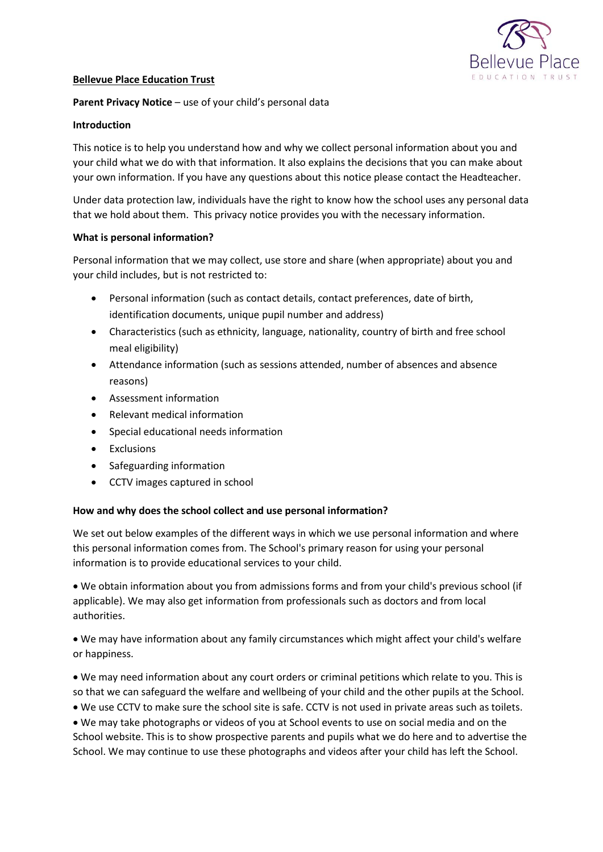

### **Bellevue Place Education Trust**

## **Parent Privacy Notice** – use of your child's personal data

### **Introduction**

This notice is to help you understand how and why we collect personal information about you and your child what we do with that information. It also explains the decisions that you can make about your own information. If you have any questions about this notice please contact the Headteacher.

Under data protection law, individuals have the right to know how the school uses any personal data that we hold about them. This privacy notice provides you with the necessary information.

### **What is personal information?**

Personal information that we may collect, use store and share (when appropriate) about you and your child includes, but is not restricted to:

- Personal information (such as contact details, contact preferences, date of birth, identification documents, unique pupil number and address)
- Characteristics (such as ethnicity, language, nationality, country of birth and free school meal eligibility)
- Attendance information (such as sessions attended, number of absences and absence reasons)
- Assessment information
- Relevant medical information
- Special educational needs information
- **•** Exclusions
- Safeguarding information
- CCTV images captured in school

### **How and why does the school collect and use personal information?**

We set out below examples of the different ways in which we use personal information and where this personal information comes from. The School's primary reason for using your personal information is to provide educational services to your child.

 We obtain information about you from admissions forms and from your child's previous school (if applicable). We may also get information from professionals such as doctors and from local authorities.

 We may have information about any family circumstances which might affect your child's welfare or happiness.

 We may need information about any court orders or criminal petitions which relate to you. This is so that we can safeguard the welfare and wellbeing of your child and the other pupils at the School.

We use CCTV to make sure the school site is safe. CCTV is not used in private areas such as toilets.

 We may take photographs or videos of you at School events to use on social media and on the School website. This is to show prospective parents and pupils what we do here and to advertise the School. We may continue to use these photographs and videos after your child has left the School.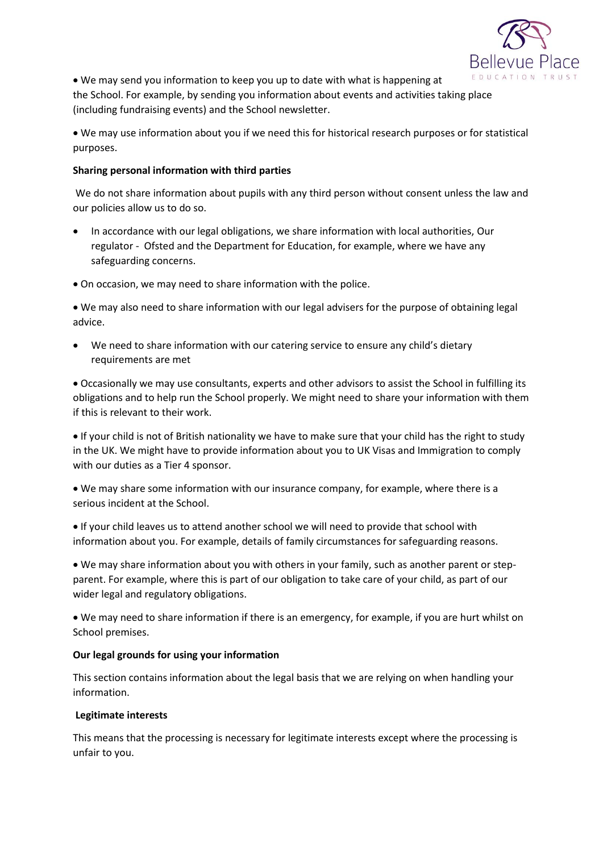

 We may send you information to keep you up to date with what is happening at the School. For example, by sending you information about events and activities taking place (including fundraising events) and the School newsletter.

 We may use information about you if we need this for historical research purposes or for statistical purposes.

### **Sharing personal information with third parties**

We do not share information about pupils with any third person without consent unless the law and our policies allow us to do so.

- In accordance with our legal obligations, we share information with local authorities, Our regulator - Ofsted and the Department for Education, for example, where we have any safeguarding concerns.
- On occasion, we may need to share information with the police.

 We may also need to share information with our legal advisers for the purpose of obtaining legal advice.

 We need to share information with our catering service to ensure any child's dietary requirements are met

 Occasionally we may use consultants, experts and other advisors to assist the School in fulfilling its obligations and to help run the School properly. We might need to share your information with them if this is relevant to their work.

 If your child is not of British nationality we have to make sure that your child has the right to study in the UK. We might have to provide information about you to UK Visas and Immigration to comply with our duties as a Tier 4 sponsor.

 We may share some information with our insurance company, for example, where there is a serious incident at the School.

 If your child leaves us to attend another school we will need to provide that school with information about you. For example, details of family circumstances for safeguarding reasons.

 We may share information about you with others in your family, such as another parent or stepparent. For example, where this is part of our obligation to take care of your child, as part of our wider legal and regulatory obligations.

 We may need to share information if there is an emergency, for example, if you are hurt whilst on School premises.

# **Our legal grounds for using your information**

This section contains information about the legal basis that we are relying on when handling your information.

# **Legitimate interests**

This means that the processing is necessary for legitimate interests except where the processing is unfair to you.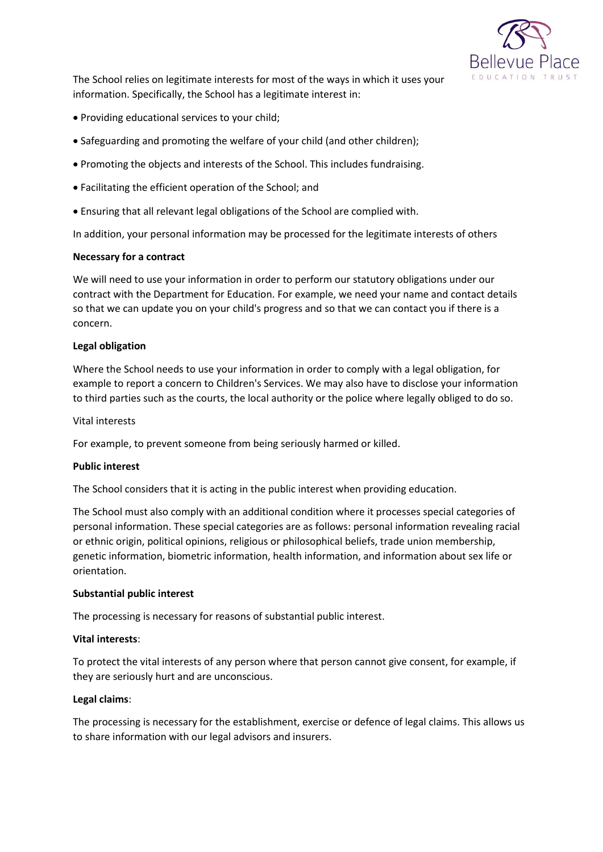

The School relies on legitimate interests for most of the ways in which it uses your information. Specifically, the School has a legitimate interest in:

- Providing educational services to your child;
- Safeguarding and promoting the welfare of your child (and other children);
- Promoting the objects and interests of the School. This includes fundraising.
- Facilitating the efficient operation of the School; and
- Ensuring that all relevant legal obligations of the School are complied with.

In addition, your personal information may be processed for the legitimate interests of others

### **Necessary for a contract**

We will need to use your information in order to perform our statutory obligations under our contract with the Department for Education. For example, we need your name and contact details so that we can update you on your child's progress and so that we can contact you if there is a concern.

### **Legal obligation**

Where the School needs to use your information in order to comply with a legal obligation, for example to report a concern to Children's Services. We may also have to disclose your information to third parties such as the courts, the local authority or the police where legally obliged to do so.

### Vital interests

For example, to prevent someone from being seriously harmed or killed.

### **Public interest**

The School considers that it is acting in the public interest when providing education.

The School must also comply with an additional condition where it processes special categories of personal information. These special categories are as follows: personal information revealing racial or ethnic origin, political opinions, religious or philosophical beliefs, trade union membership, genetic information, biometric information, health information, and information about sex life or orientation.

### **Substantial public interest**

The processing is necessary for reasons of substantial public interest.

### **Vital interests**:

To protect the vital interests of any person where that person cannot give consent, for example, if they are seriously hurt and are unconscious.

### **Legal claims**:

The processing is necessary for the establishment, exercise or defence of legal claims. This allows us to share information with our legal advisors and insurers.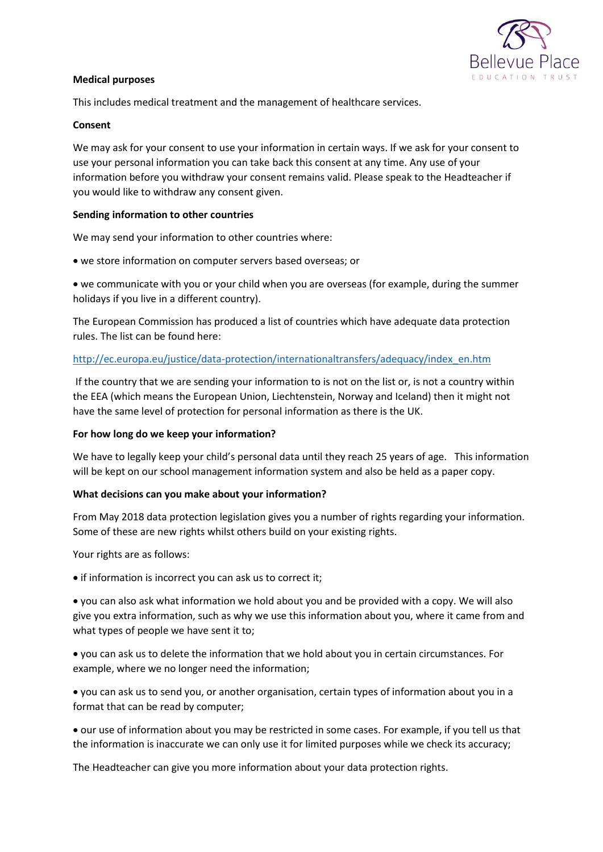

#### **Medical purposes**

This includes medical treatment and the management of healthcare services.

#### **Consent**

We may ask for your consent to use your information in certain ways. If we ask for your consent to use your personal information you can take back this consent at any time. Any use of your information before you withdraw your consent remains valid. Please speak to the Headteacher if you would like to withdraw any consent given.

### **Sending information to other countries**

We may send your information to other countries where:

we store information on computer servers based overseas; or

 we communicate with you or your child when you are overseas (for example, during the summer holidays if you live in a different country).

The European Commission has produced a list of countries which have adequate data protection rules. The list can be found here:

### [http://ec.europa.eu/justice/data-protection/internationaltransfers/adequacy/index\\_en.htm](http://ec.europa.eu/justice/data-protection/internationaltransfers/adequacy/index_en.htm)

If the country that we are sending your information to is not on the list or, is not a country within the EEA (which means the European Union, Liechtenstein, Norway and Iceland) then it might not have the same level of protection for personal information as there is the UK.

### **For how long do we keep your information?**

We have to legally keep your child's personal data until they reach 25 years of age. This information will be kept on our school management information system and also be held as a paper copy.

### **What decisions can you make about your information?**

From May 2018 data protection legislation gives you a number of rights regarding your information. Some of these are new rights whilst others build on your existing rights.

Your rights are as follows:

• if information is incorrect you can ask us to correct it;

 you can also ask what information we hold about you and be provided with a copy. We will also give you extra information, such as why we use this information about you, where it came from and what types of people we have sent it to;

 you can ask us to delete the information that we hold about you in certain circumstances. For example, where we no longer need the information;

 you can ask us to send you, or another organisation, certain types of information about you in a format that can be read by computer;

 our use of information about you may be restricted in some cases. For example, if you tell us that the information is inaccurate we can only use it for limited purposes while we check its accuracy;

The Headteacher can give you more information about your data protection rights.